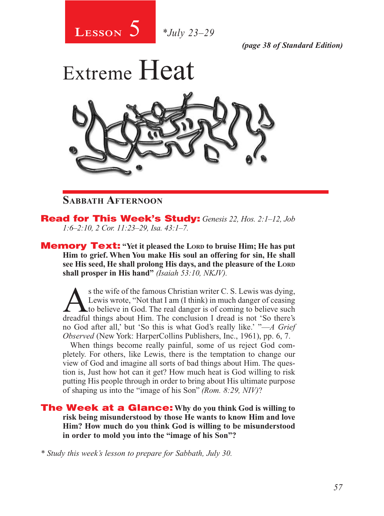

*(page 38 of Standard Edition)*



## **Sabbath Afternoon**

Read for This Week's Study: *Genesis 22, Hos. 2:1–12, Job 1:6–2:10, 2 Cor. 11:23–29, Isa. 43:1–7.*

**Memory Text:** "Yet it pleased the Lorp to bruise Him; He has put **Him to grief. When You make His soul an offering for sin, He shall see His seed, He shall prolong His days, and the pleasure of the Lord shall prosper in His hand"** *(Isaiah 53:10, NKJV).* 

s the wife of the famous Christian writer C. S. Lewis was dying,<br>Lewis wrote, "Not that I am (I think) in much danger of ceasing<br>to believe in God. The real danger is of coming to believe such<br>dreadful things about Him. Th Lewis wrote, "Not that I am (I think) in much danger of ceasing Lto believe in God. The real danger is of coming to believe such dreadful things about Him. The conclusion I dread is not 'So there's no God after all,' but 'So this is what God's really like.' "—*A Grief Observed* (New York: HarperCollins Publishers, Inc., 1961), pp. 6, 7.

When things become really painful, some of us reject God completely. For others, like Lewis, there is the temptation to change our view of God and imagine all sorts of bad things about Him. The question is, Just how hot can it get? How much heat is God willing to risk putting His people through in order to bring about His ultimate purpose of shaping us into the "image of his Son" *(Rom. 8:29, NIV)*?

The Week at a Glance: **Why do you think God is willing to risk being misunderstood by those He wants to know Him and love Him? How much do you think God is willing to be misunderstood in order to mold you into the "image of his Son"?**

*\* Study this week's lesson to prepare for Sabbath, July 30.*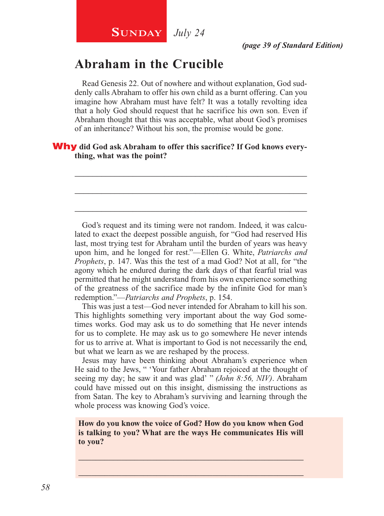# **Abraham in the Crucible**

Read Genesis 22. Out of nowhere and without explanation, God suddenly calls Abraham to offer his own child as a burnt offering. Can you imagine how Abraham must have felt? It was a totally revolting idea that a holy God should request that he sacrifice his own son. Even if Abraham thought that this was acceptable, what about God's promises of an inheritance? Without his son, the promise would be gone.

\_\_\_\_\_\_\_\_\_\_\_\_\_\_\_\_\_\_\_\_\_\_\_\_\_\_\_\_\_\_\_\_\_\_\_\_\_\_\_\_\_\_\_\_\_\_\_\_\_\_\_\_

\_\_\_\_\_\_\_\_\_\_\_\_\_\_\_\_\_\_\_\_\_\_\_\_\_\_\_\_\_\_\_\_\_\_\_\_\_\_\_\_\_\_\_\_\_\_\_\_\_\_\_\_

\_\_\_\_\_\_\_\_\_\_\_\_\_\_\_\_\_\_\_\_\_\_\_\_\_\_\_\_\_\_\_\_\_\_\_\_\_\_\_\_\_\_\_\_\_\_\_\_\_\_\_\_

#### Why **did God ask Abraham to offer this sacrifice? If God knows everything, what was the point?**

God's request and its timing were not random. Indeed, it was calculated to exact the deepest possible anguish, for "God had reserved His last, most trying test for Abraham until the burden of years was heavy upon him, and he longed for rest."—Ellen G. White, *Patriarchs and Prophets*, p. 147. Was this the test of a mad God? Not at all, for "the agony which he endured during the dark days of that fearful trial was permitted that he might understand from his own experience something of the greatness of the sacrifice made by the infinite God for man's redemption."—*Patriarchs and Prophets*, p. 154.

This was just a test—God never intended for Abraham to kill his son. This highlights something very important about the way God sometimes works. God may ask us to do something that He never intends for us to complete. He may ask us to go somewhere He never intends for us to arrive at. What is important to God is not necessarily the end, but what we learn as we are reshaped by the process.

Jesus may have been thinking about Abraham's experience when He said to the Jews, " 'Your father Abraham rejoiced at the thought of seeing my day; he saw it and was glad' " *(John 8:56, NIV)*. Abraham could have missed out on this insight, dismissing the instructions as from Satan. The key to Abraham's surviving and learning through the whole process was knowing God's voice.

**How do you know the voice of God? How do you know when God is talking to you? What are the ways He communicates His will to you?**

\_\_\_\_\_\_\_\_\_\_\_\_\_\_\_\_\_\_\_\_\_\_\_\_\_\_\_\_\_\_\_\_\_\_\_\_\_\_\_\_\_\_\_\_\_\_\_\_\_\_\_\_ \_\_\_\_\_\_\_\_\_\_\_\_\_\_\_\_\_\_\_\_\_\_\_\_\_\_\_\_\_\_\_\_\_\_\_\_\_\_\_\_\_\_\_\_\_\_\_\_\_\_\_\_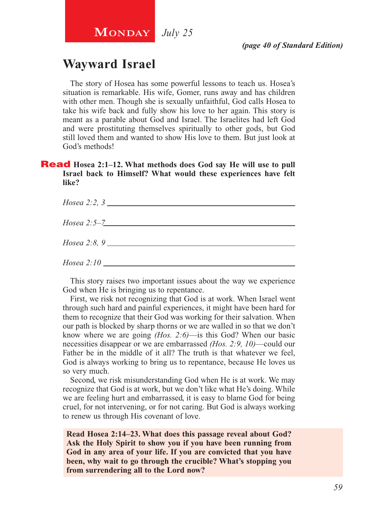# **Wayward Israel**

The story of Hosea has some powerful lessons to teach us. Hosea's situation is remarkable. His wife, Gomer, runs away and has children with other men. Though she is sexually unfaithful, God calls Hosea to take his wife back and fully show his love to her again. This story is meant as a parable about God and Israel. The Israelites had left God and were prostituting themselves spiritually to other gods, but God still loved them and wanted to show His love to them. But just look at God's methods!

#### **Read** Hosea 2:1–12. What methods does God say He will use to pull **Israel back to Himself? What would these experiences have felt like?**

| $Hosea 2:5-7$                |
|------------------------------|
| <i>Hosea</i> 2:8, 9          |
| $Hosea 2:10$ $\qquad \qquad$ |

This story raises two important issues about the way we experience God when He is bringing us to repentance.

First, we risk not recognizing that God is at work. When Israel went through such hard and painful experiences, it might have been hard for them to recognize that their God was working for their salvation. When our path is blocked by sharp thorns or we are walled in so that we don't know where we are going *(Hos. 2:6)*—is this God? When our basic necessities disappear or we are embarrassed *(Hos. 2:9, 10)*—could our Father be in the middle of it all? The truth is that whatever we feel, God is always working to bring us to repentance, because He loves us so very much.

Second, we risk misunderstanding God when He is at work. We may recognize that God is at work, but we don't like what He's doing. While we are feeling hurt and embarrassed, it is easy to blame God for being cruel, for not intervening, or for not caring. But God is always working to renew us through His covenant of love.

**Read Hosea 2:14–23. What does this passage reveal about God? Ask the Holy Spirit to show you if you have been running from God in any area of your life. If you are convicted that you have been, why wait to go through the crucible? What's stopping you from surrendering all to the Lord now?**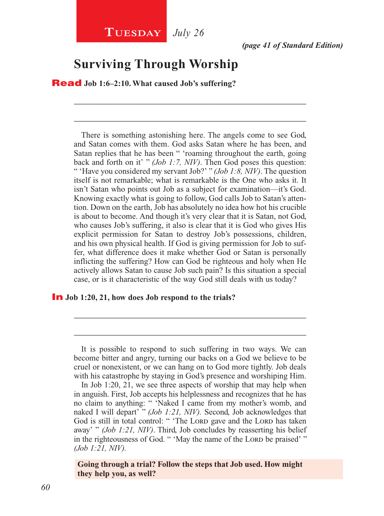## **Surviving Through Worship**

Read **Job 1:6–2:10. What caused Job's suffering?**

There is something astonishing here. The angels come to see God, and Satan comes with them. God asks Satan where he has been, and Satan replies that he has been " 'roaming throughout the earth, going back and forth on it' " *(Job 1:7, NIV)*. Then God poses this question: " 'Have you considered my servant Job?' " *(Job 1:8, NIV)*. The question itself is not remarkable; what is remarkable is the One who asks it. It isn't Satan who points out Job as a subject for examination—it's God. Knowing exactly what is going to follow, God calls Job to Satan's attention. Down on the earth, Job has absolutely no idea how hot his crucible is about to become. And though it's very clear that it is Satan, not God, who causes Job's suffering, it also is clear that it is God who gives His explicit permission for Satan to destroy Job's possessions, children, and his own physical health. If God is giving permission for Job to suffer, what difference does it make whether God or Satan is personally inflicting the suffering? How can God be righteous and holy when He actively allows Satan to cause Job such pain? Is this situation a special case, or is it characteristic of the way God still deals with us today?

\_\_\_\_\_\_\_\_\_\_\_\_\_\_\_\_\_\_\_\_\_\_\_\_\_\_\_\_\_\_\_\_\_\_\_\_\_\_\_\_\_\_\_\_\_\_\_\_\_\_\_\_

\_\_\_\_\_\_\_\_\_\_\_\_\_\_\_\_\_\_\_\_\_\_\_\_\_\_\_\_\_\_\_\_\_\_\_\_\_\_\_\_\_\_\_\_\_\_\_\_\_\_\_\_

#### In **Job 1:20, 21, how does Job respond to the trials?**

\_\_\_\_\_\_\_\_\_\_\_\_\_\_\_\_\_\_\_\_\_\_\_\_\_\_\_\_\_\_\_\_\_\_\_\_\_\_\_\_\_\_\_\_\_\_\_\_\_\_\_\_

\_\_\_\_\_\_\_\_\_\_\_\_\_\_\_\_\_\_\_\_\_\_\_\_\_\_\_\_\_\_\_\_\_\_\_\_\_\_\_\_\_\_\_\_\_\_\_\_\_\_\_\_

**Going through a trial? Follow the steps that Job used. How might they help you, as well?**

It is possible to respond to such suffering in two ways. We can become bitter and angry, turning our backs on a God we believe to be cruel or nonexistent, or we can hang on to God more tightly. Job deals with his catastrophe by staying in God's presence and worshiping Him.

In Job 1:20, 21, we see three aspects of worship that may help when in anguish. First, Job accepts his helplessness and recognizes that he has no claim to anything: " 'Naked I came from my mother's womb, and naked I will depart' " *(Job 1:21, NIV)*. Second, Job acknowledges that God is still in total control: " 'The Lord gave and the Lord has taken away' " *(Job 1:21, NIV)*. Third, Job concludes by reasserting his belief in the righteousness of God. " 'May the name of the Lora be praised' " *(Job 1:21, NIV).*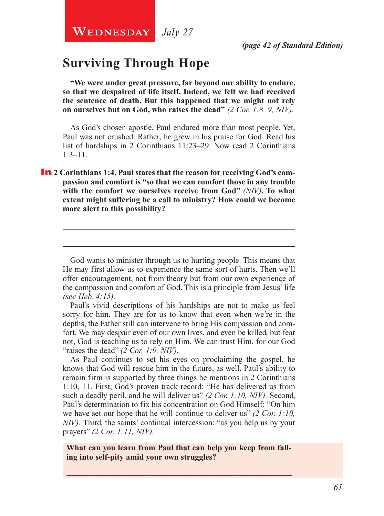**WEDNESDAY** July 27

## **Surviving Through Hope**

**"We were under great pressure, far beyond our ability to endure, so that we despaired of life itself. Indeed, we felt we had received the sentence of death. But this happened that we might not rely on ourselves but on God, who raises the dead"** *(2 Cor. 1:8, 9, NIV).*

As God's chosen apostle, Paul endured more than most people. Yet, Paul was not crushed. Rather, he grew in his praise for God. Read his list of hardships in 2 Corinthians 11:23–29. Now read 2 Corinthians 1:3–11.

**In** 2 Corinthians 1:4, Paul states that the reason for receiving God's com**passion and comfort is "so that we can comfort those in any trouble with the comfort we ourselves receive from God"** *(NIV)***. To what extent might suffering be a call to ministry? How could we become more alert to this possibility?**

God wants to minister through us to hurting people. This means that He may first allow us to experience the same sort of hurts. Then we'll offer encouragement, not from theory but from our own experience of the compassion and comfort of God. This is a principle from Jesus' life *(see Heb. 4:15).*

\_\_\_\_\_\_\_\_\_\_\_\_\_\_\_\_\_\_\_\_\_\_\_\_\_\_\_\_\_\_\_\_\_\_\_\_\_\_\_\_\_\_\_\_\_\_\_\_\_\_\_\_

\_\_\_\_\_\_\_\_\_\_\_\_\_\_\_\_\_\_\_\_\_\_\_\_\_\_\_\_\_\_\_\_\_\_\_\_\_\_\_\_\_\_\_\_\_\_\_\_\_\_\_\_

Paul's vivid descriptions of his hardships are not to make us feel sorry for him. They are for us to know that even when we're in the depths, the Father still can intervene to bring His compassion and comfort. We may despair even of our own lives, and even be killed, but fear not, God is teaching us to rely on Him. We can trust Him, for our God "raises the dead" *(2 Cor. 1:9, NIV)*.

As Paul continues to set his eyes on proclaiming the gospel, he knows that God will rescue him in the future, as well. Paul's ability to remain firm is supported by three things he mentions in 2 Corinthians 1:10, 11. First, God's proven track record: "He has delivered us from such a deadly peril, and he will deliver us" *(2 Cor. 1:10, NIV).* Second, Paul's determination to fix his concentration on God Himself: "On him we have set our hope that he will continue to deliver us" *(2 Cor. 1:10, NIV*). Third, the saints' continual intercession: "as you help us by your prayers" *(2 Cor. 1:11, NIV).*

**What can you learn from Paul that can help you keep from falling into self-pity amid your own struggles?**

\_\_\_\_\_\_\_\_\_\_\_\_\_\_\_\_\_\_\_\_\_\_\_\_\_\_\_\_\_\_\_\_\_\_\_\_\_\_\_\_\_\_\_\_\_\_\_\_\_\_\_\_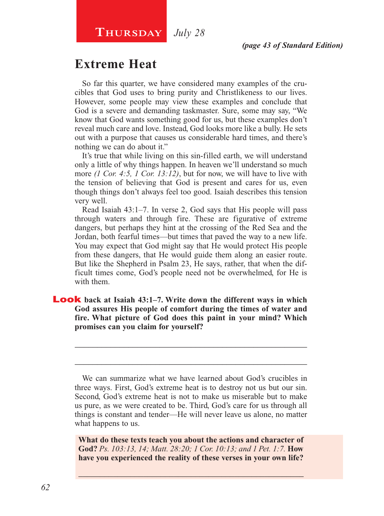# **Extreme Heat**

So far this quarter, we have considered many examples of the crucibles that God uses to bring purity and Christlikeness to our lives. However, some people may view these examples and conclude that God is a severe and demanding taskmaster. Sure, some may say, "We know that God wants something good for us, but these examples don't reveal much care and love. Instead, God looks more like a bully. He sets out with a purpose that causes us considerable hard times, and there's nothing we can do about it."

It's true that while living on this sin-filled earth, we will understand only a little of why things happen. In heaven we'll understand so much more *(1 Cor. 4:5, 1 Cor. 13:12)*, but for now, we will have to live with the tension of believing that God is present and cares for us, even though things don't always feel too good. Isaiah describes this tension very well.

Read Isaiah 43:1–7. In verse 2, God says that His people will pass through waters and through fire. These are figurative of extreme dangers, but perhaps they hint at the crossing of the Red Sea and the Jordan, both fearful times—but times that paved the way to a new life. You may expect that God might say that He would protect His people from these dangers, that He would guide them along an easier route. But like the Shepherd in Psalm 23, He says, rather, that when the difficult times come, God's people need not be overwhelmed, for He is with them.

Look **back at Isaiah 43:1–7. Write down the different ways in which God assures His people of comfort during the times of water and fire. What picture of God does this paint in your mind? Which promises can you claim for yourself?**

\_\_\_\_\_\_\_\_\_\_\_\_\_\_\_\_\_\_\_\_\_\_\_\_\_\_\_\_\_\_\_\_\_\_\_\_\_\_\_\_\_\_\_\_\_\_\_\_\_\_\_\_

\_\_\_\_\_\_\_\_\_\_\_\_\_\_\_\_\_\_\_\_\_\_\_\_\_\_\_\_\_\_\_\_\_\_\_\_\_\_\_\_\_\_\_\_\_\_\_\_\_\_\_\_

**What do these texts teach you about the actions and character of God?** *Ps. 103:13, 14; Matt. 28:20; 1 Cor. 10:13; and 1 Pet. 1:7.* **How have you experienced the reality of these verses in your own life?**

\_\_\_\_\_\_\_\_\_\_\_\_\_\_\_\_\_\_\_\_\_\_\_\_\_\_\_\_\_\_\_\_\_\_\_\_\_\_\_\_\_\_\_\_\_\_\_\_\_\_\_\_

We can summarize what we have learned about God's crucibles in three ways. First, God's extreme heat is to destroy not us but our sin. Second, God's extreme heat is not to make us miserable but to make us pure, as we were created to be. Third, God's care for us through all things is constant and tender—He will never leave us alone, no matter what happens to us.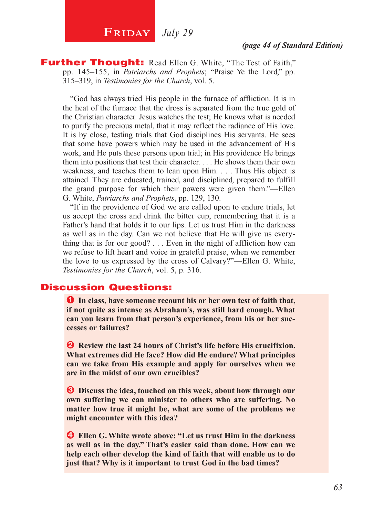# **FRIDAY** July 29

**Further Thought:** Read Ellen G. White, "The Test of Faith," pp. 145–155, in *Patriarchs and Prophets*; "Praise Ye the Lord," pp. 315–319, in *Testimonies for the Church*, vol. 5.

"God has always tried His people in the furnace of affliction. It is in the heat of the furnace that the dross is separated from the true gold of the Christian character. Jesus watches the test; He knows what is needed to purify the precious metal, that it may reflect the radiance of His love. It is by close, testing trials that God disciplines His servants. He sees that some have powers which may be used in the advancement of His work, and He puts these persons upon trial; in His providence He brings them into positions that test their character. . . . He shows them their own weakness, and teaches them to lean upon Him. . . . Thus His object is attained. They are educated, trained, and disciplined, prepared to fulfill the grand purpose for which their powers were given them."—Ellen G. White, *Patriarchs and Prophets*, pp. 129, 130.

"If in the providence of God we are called upon to endure trials, let us accept the cross and drink the bitter cup, remembering that it is a Father's hand that holds it to our lips. Let us trust Him in the darkness as well as in the day. Can we not believe that He will give us everything that is for our good? . . . Even in the night of affliction how can we refuse to lift heart and voice in grateful praise, when we remember the love to us expressed by the cross of Calvary?"—Ellen G. White, *Testimonies for the Church*, vol. 5, p. 316.

## Discussion Questions:

**O** In class, have someone recount his or her own test of faith that, **if not quite as intense as Abraham's, was still hard enough. What can you learn from that person's experience, from his or her successes or failures?**

 $\bullet$  Review the last 24 hours of Christ's life before His crucifixion. **What extremes did He face? How did He endure? What principles can we take from His example and apply for ourselves when we are in the midst of our own crucibles?**

 $\bullet$  Discuss the idea, touched on this week, about how through our **own suffering we can minister to others who are suffering. No matter how true it might be, what are some of the problems we might encounter with this idea?**

Í **Ellen G. White wrote above: "Let us trust Him in the darkness as well as in the day." That's easier said than done. How can we help each other develop the kind of faith that will enable us to do just that? Why is it important to trust God in the bad times?**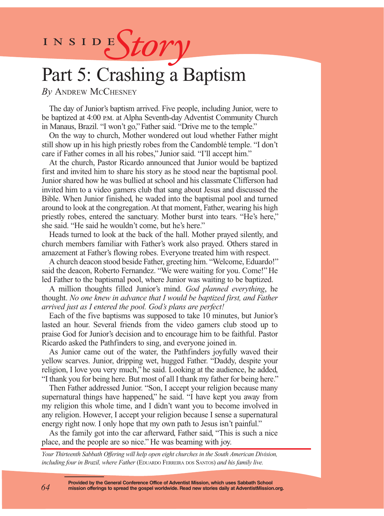INSIDES*tory* 

# Part 5: Crashing a Baptism

*By* Andrew McChesney

The day of Junior's baptism arrived. Five people, including Junior, were to be baptized at 4:00 p.m. at Alpha Seventh-day Adventist Community Church in Manaus, Brazil. "I won't go," Father said. "Drive me to the temple."

On the way to church, Mother wondered out loud whether Father might still show up in his high priestly robes from the Candomblé temple. "I don't care if Father comes in all his robes," Junior said. "I'll accept him."

At the church, Pastor Ricardo announced that Junior would be baptized first and invited him to share his story as he stood near the baptismal pool. Junior shared how he was bullied at school and his classmate Clifferson had invited him to a video gamers club that sang about Jesus and discussed the Bible. When Junior finished, he waded into the baptismal pool and turned around to look at the congregation. At that moment, Father, wearing his high priestly robes, entered the sanctuary. Mother burst into tears. "He's here," she said. "He said he wouldn't come, but he's here."

Heads turned to look at the back of the hall. Mother prayed silently, and church members familiar with Father's work also prayed. Others stared in amazement at Father's flowing robes. Everyone treated him with respect.

A church deacon stood beside Father, greeting him. "Welcome, Eduardo!" said the deacon, Roberto Fernandez. "We were waiting for you. Come!" He led Father to the baptismal pool, where Junior was waiting to be baptized.

A million thoughts filled Junior's mind. *God planned everything*, he thought. *No one knew in advance that I would be baptized first, and Father arrived just as I entered the pool. God's plans are perfect!*

Each of the five baptisms was supposed to take 10 minutes, but Junior's lasted an hour. Several friends from the video gamers club stood up to praise God for Junior's decision and to encourage him to be faithful. Pastor Ricardo asked the Pathfinders to sing, and everyone joined in.

As Junior came out of the water, the Pathfinders joyfully waved their yellow scarves. Junior, dripping wet, hugged Father. "Daddy, despite your religion, I love you very much," he said. Looking at the audience, he added, "I thank you for being here. But most of all I thank my father for being here."

Then Father addressed Junior. "Son, I accept your religion because many supernatural things have happened," he said. "I have kept you away from my religion this whole time, and I didn't want you to become involved in any religion. However, I accept your religion because I sense a supernatural energy right now. I only hope that my own path to Jesus isn't painful."

As the family got into the car afterward, Father said, "This is such a nice place, and the people are so nice." He was beaming with joy.

*Your Thirteenth Sabbath Offering will help open eight churches in the South American Division, including four in Brazil, where Father* (EDUARDO FERREIRA DOS SANTOS) *and his family live.* 

**Provided by the General Conference Office of Adventist Mission, which uses Sabbath School mission offerings to spread the gospel worldwide. Read new stories daily at AdventistMission.org.**

*64*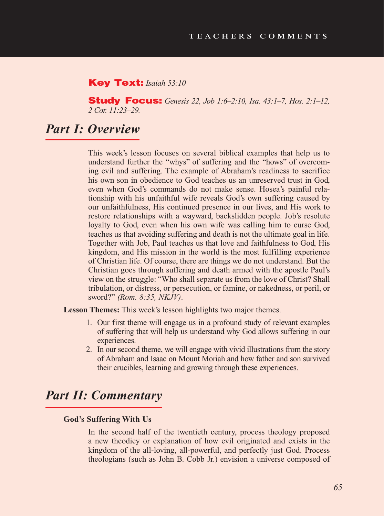#### Key Text: *Isaiah 53:10*

Study Focus: *Genesis 22, Job 1:6–2:10, Isa. 43:1–7, Hos. 2:1–12, 2 Cor. 11:23–29.*

## *Part I: Overview*

This week's lesson focuses on several biblical examples that help us to understand further the "whys" of suffering and the "hows" of overcoming evil and suffering. The example of Abraham's readiness to sacrifice his own son in obedience to God teaches us an unreserved trust in God, even when God's commands do not make sense. Hosea's painful relationship with his unfaithful wife reveals God's own suffering caused by our unfaithfulness, His continued presence in our lives, and His work to restore relationships with a wayward, backslidden people. Job's resolute loyalty to God, even when his own wife was calling him to curse God, teaches us that avoiding suffering and death is not the ultimate goal in life. Together with Job, Paul teaches us that love and faithfulness to God, His kingdom, and His mission in the world is the most fulfilling experience of Christian life. Of course, there are things we do not understand. But the Christian goes through suffering and death armed with the apostle Paul's view on the struggle: "Who shall separate us from the love of Christ? Shall tribulation, or distress, or persecution, or famine, or nakedness, or peril, or sword?" *(Rom. 8:35, NKJV)*.

**Lesson Themes:** This week's lesson highlights two major themes.

- 1. Our first theme will engage us in a profound study of relevant examples of suffering that will help us understand why God allows suffering in our experiences.
- 2. In our second theme, we will engage with vivid illustrations from the story of Abraham and Isaac on Mount Moriah and how father and son survived their crucibles, learning and growing through these experiences.

## *Part II: Commentary*

#### **God's Suffering With Us**

In the second half of the twentieth century, process theology proposed a new theodicy or explanation of how evil originated and exists in the kingdom of the all-loving, all-powerful, and perfectly just God. Process theologians (such as John B. Cobb Jr.) envision a universe composed of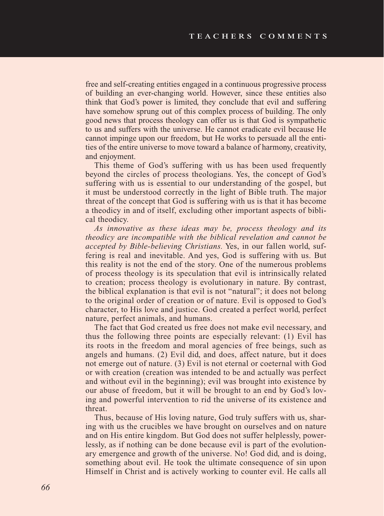free and self-creating entities engaged in a continuous progressive process of building an ever-changing world. However, since these entities also think that God's power is limited, they conclude that evil and suffering have somehow sprung out of this complex process of building. The only good news that process theology can offer us is that God is sympathetic to us and suffers with the universe. He cannot eradicate evil because He cannot impinge upon our freedom, but He works to persuade all the entities of the entire universe to move toward a balance of harmony, creativity, and enjoyment.

This theme of God's suffering with us has been used frequently beyond the circles of process theologians. Yes, the concept of God's suffering with us is essential to our understanding of the gospel, but it must be understood correctly in the light of Bible truth. The major threat of the concept that God is suffering with us is that it has become a theodicy in and of itself, excluding other important aspects of biblical theodicy.

*As innovative as these ideas may be, process theology and its theodicy are incompatible with the biblical revelation and cannot be accepted by Bible-believing Christians.* Yes, in our fallen world, suffering is real and inevitable. And yes, God is suffering with us. But this reality is not the end of the story. One of the numerous problems of process theology is its speculation that evil is intrinsically related to creation; process theology is evolutionary in nature. By contrast, the biblical explanation is that evil is not "natural"; it does not belong to the original order of creation or of nature. Evil is opposed to God's character, to His love and justice. God created a perfect world, perfect nature, perfect animals, and humans.

The fact that God created us free does not make evil necessary, and thus the following three points are especially relevant: (1) Evil has its roots in the freedom and moral agencies of free beings, such as angels and humans. (2) Evil did, and does, affect nature, but it does not emerge out of nature. (3) Evil is not eternal or coeternal with God or with creation (creation was intended to be and actually was perfect and without evil in the beginning); evil was brought into existence by our abuse of freedom, but it will be brought to an end by God's loving and powerful intervention to rid the universe of its existence and threat.

Thus, because of His loving nature, God truly suffers with us, sharing with us the crucibles we have brought on ourselves and on nature and on His entire kingdom. But God does not suffer helplessly, powerlessly, as if nothing can be done because evil is part of the evolutionary emergence and growth of the universe. No! God did, and is doing, something about evil. He took the ultimate consequence of sin upon Himself in Christ and is actively working to counter evil. He calls all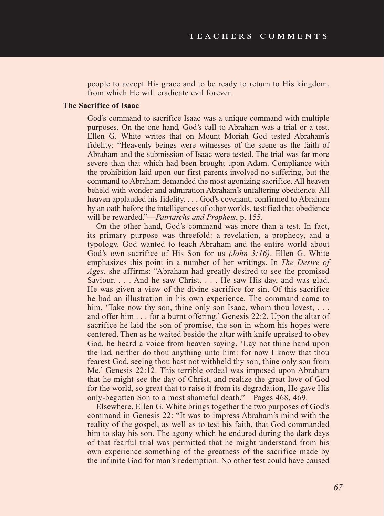people to accept His grace and to be ready to return to His kingdom, from which He will eradicate evil forever.

#### **The Sacrifice of Isaac**

God's command to sacrifice Isaac was a unique command with multiple purposes. On the one hand, God's call to Abraham was a trial or a test. Ellen G. White writes that on Mount Moriah God tested Abraham's fidelity: "Heavenly beings were witnesses of the scene as the faith of Abraham and the submission of Isaac were tested. The trial was far more severe than that which had been brought upon Adam. Compliance with the prohibition laid upon our first parents involved no suffering, but the command to Abraham demanded the most agonizing sacrifice. All heaven beheld with wonder and admiration Abraham's unfaltering obedience. All heaven applauded his fidelity. . . . God's covenant, confirmed to Abraham by an oath before the intelligences of other worlds, testified that obedience will be rewarded."—*Patriarchs and Prophets*, p. 155.

On the other hand, God's command was more than a test. In fact, its primary purpose was threefold: a revelation, a prophecy, and a typology. God wanted to teach Abraham and the entire world about God's own sacrifice of His Son for us *(John 3:16)*. Ellen G. White emphasizes this point in a number of her writings. In *The Desire of Ages*, she affirms: "Abraham had greatly desired to see the promised Saviour. . . . And he saw Christ. . . . He saw His day, and was glad. He was given a view of the divine sacrifice for sin. Of this sacrifice he had an illustration in his own experience. The command came to him, 'Take now thy son, thine only son Isaac, whom thou lovest, ... and offer him . . . for a burnt offering.' Genesis 22:2. Upon the altar of sacrifice he laid the son of promise, the son in whom his hopes were centered. Then as he waited beside the altar with knife upraised to obey God, he heard a voice from heaven saying, 'Lay not thine hand upon the lad, neither do thou anything unto him: for now I know that thou fearest God, seeing thou hast not withheld thy son, thine only son from Me.' Genesis 22:12. This terrible ordeal was imposed upon Abraham that he might see the day of Christ, and realize the great love of God for the world, so great that to raise it from its degradation, He gave His only-begotten Son to a most shameful death."—Pages 468, 469.

Elsewhere, Ellen G. White brings together the two purposes of God's command in Genesis 22: "It was to impress Abraham's mind with the reality of the gospel, as well as to test his faith, that God commanded him to slay his son. The agony which he endured during the dark days of that fearful trial was permitted that he might understand from his own experience something of the greatness of the sacrifice made by the infinite God for man's redemption. No other test could have caused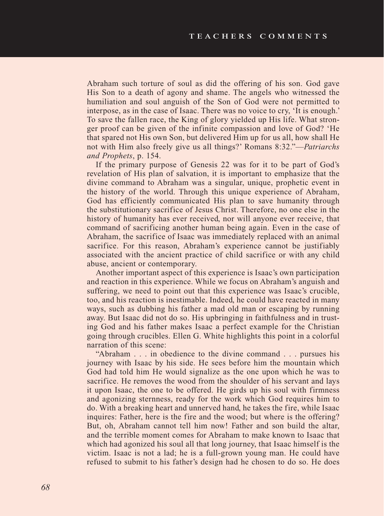Abraham such torture of soul as did the offering of his son. God gave His Son to a death of agony and shame. The angels who witnessed the humiliation and soul anguish of the Son of God were not permitted to interpose, as in the case of Isaac. There was no voice to cry, 'It is enough.' To save the fallen race, the King of glory yielded up His life. What stronger proof can be given of the infinite compassion and love of God? 'He that spared not His own Son, but delivered Him up for us all, how shall He not with Him also freely give us all things?' Romans 8:32."—*Patriarchs and Prophets*, p. 154.

If the primary purpose of Genesis 22 was for it to be part of God's revelation of His plan of salvation, it is important to emphasize that the divine command to Abraham was a singular, unique, prophetic event in the history of the world. Through this unique experience of Abraham, God has efficiently communicated His plan to save humanity through the substitutionary sacrifice of Jesus Christ. Therefore, no one else in the history of humanity has ever received, nor will anyone ever receive, that command of sacrificing another human being again. Even in the case of Abraham, the sacrifice of Isaac was immediately replaced with an animal sacrifice. For this reason, Abraham's experience cannot be justifiably associated with the ancient practice of child sacrifice or with any child abuse, ancient or contemporary.

Another important aspect of this experience is Isaac's own participation and reaction in this experience. While we focus on Abraham's anguish and suffering, we need to point out that this experience was Isaac's crucible, too, and his reaction is inestimable. Indeed, he could have reacted in many ways, such as dubbing his father a mad old man or escaping by running away. But Isaac did not do so. His upbringing in faithfulness and in trusting God and his father makes Isaac a perfect example for the Christian going through crucibles. Ellen G. White highlights this point in a colorful narration of this scene:

"Abraham . . . in obedience to the divine command . . . pursues his journey with Isaac by his side. He sees before him the mountain which God had told him He would signalize as the one upon which he was to sacrifice. He removes the wood from the shoulder of his servant and lays it upon Isaac, the one to be offered. He girds up his soul with firmness and agonizing sternness, ready for the work which God requires him to do. With a breaking heart and unnerved hand, he takes the fire, while Isaac inquires: Father, here is the fire and the wood; but where is the offering? But, oh, Abraham cannot tell him now! Father and son build the altar, and the terrible moment comes for Abraham to make known to Isaac that which had agonized his soul all that long journey, that Isaac himself is the victim. Isaac is not a lad; he is a full-grown young man. He could have refused to submit to his father's design had he chosen to do so. He does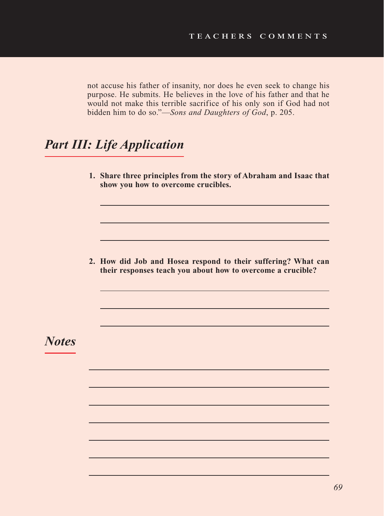not accuse his father of insanity, nor does he even seek to change his purpose. He submits. He believes in the love of his father and that he would not make this terrible sacrifice of his only son if God had not bidden him to do so."—*Sons and Daughters of God*, p. 205.

# *Part III: Life Application*

**1. Share three principles from the story of Abraham and Isaac that show you how to overcome crucibles.**

**2. How did Job and Hosea respond to their suffering? What can their responses teach you about how to overcome a crucible?**

*Notes*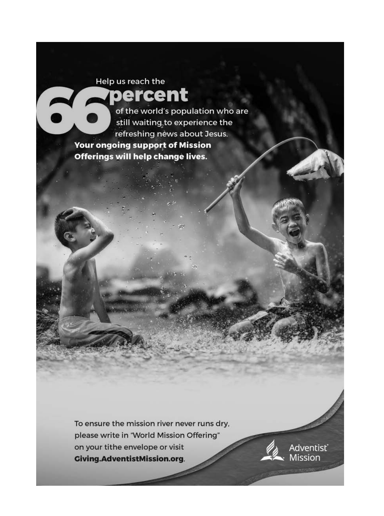# Help us reach the percent

of the world's population who are still waiting to experience the refreshing news about Jesus. **Your ongoing support of Mission** Offerings will help change lives.

To ensure the mission river never runs dry, please write in 'World Mission Offering" on your tithe envelope or visit **Giving.AdventistMission.org.** 

Adventist<sup>®</sup><br>Mission